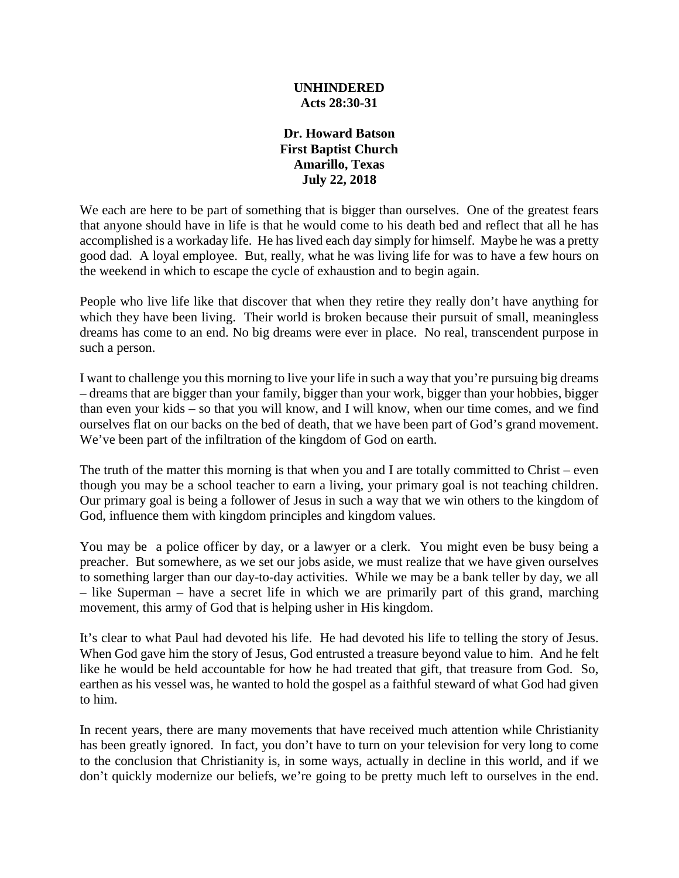## **UNHINDERED Acts 28:30-31**

## **Dr. Howard Batson First Baptist Church Amarillo, Texas July 22, 2018**

We each are here to be part of something that is bigger than ourselves. One of the greatest fears that anyone should have in life is that he would come to his death bed and reflect that all he has accomplished is a workaday life. He has lived each day simply for himself. Maybe he was a pretty good dad. A loyal employee. But, really, what he was living life for was to have a few hours on the weekend in which to escape the cycle of exhaustion and to begin again.

People who live life like that discover that when they retire they really don't have anything for which they have been living. Their world is broken because their pursuit of small, meaningless dreams has come to an end. No big dreams were ever in place. No real, transcendent purpose in such a person.

I want to challenge you this morning to live your life in such a way that you're pursuing big dreams – dreams that are bigger than your family, bigger than your work, bigger than your hobbies, bigger than even your kids – so that you will know, and I will know, when our time comes, and we find ourselves flat on our backs on the bed of death, that we have been part of God's grand movement. We've been part of the infiltration of the kingdom of God on earth.

The truth of the matter this morning is that when you and I are totally committed to Christ – even though you may be a school teacher to earn a living, your primary goal is not teaching children. Our primary goal is being a follower of Jesus in such a way that we win others to the kingdom of God, influence them with kingdom principles and kingdom values.

You may be a police officer by day, or a lawyer or a clerk. You might even be busy being a preacher. But somewhere, as we set our jobs aside, we must realize that we have given ourselves to something larger than our day-to-day activities. While we may be a bank teller by day, we all – like Superman – have a secret life in which we are primarily part of this grand, marching movement, this army of God that is helping usher in His kingdom.

It's clear to what Paul had devoted his life. He had devoted his life to telling the story of Jesus. When God gave him the story of Jesus, God entrusted a treasure beyond value to him. And he felt like he would be held accountable for how he had treated that gift, that treasure from God. So, earthen as his vessel was, he wanted to hold the gospel as a faithful steward of what God had given to him.

In recent years, there are many movements that have received much attention while Christianity has been greatly ignored. In fact, you don't have to turn on your television for very long to come to the conclusion that Christianity is, in some ways, actually in decline in this world, and if we don't quickly modernize our beliefs, we're going to be pretty much left to ourselves in the end.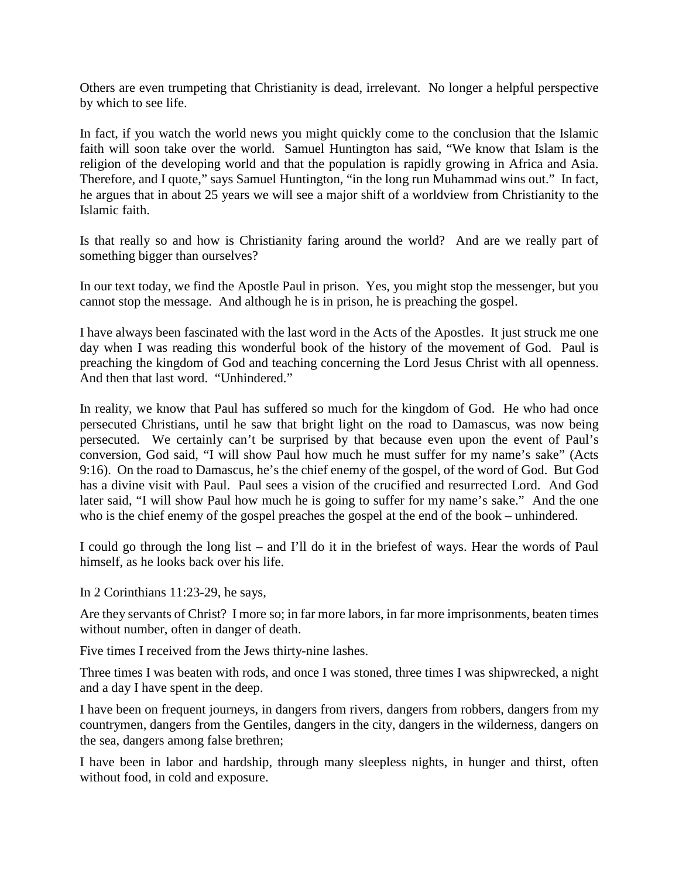Others are even trumpeting that Christianity is dead, irrelevant. No longer a helpful perspective by which to see life.

In fact, if you watch the world news you might quickly come to the conclusion that the Islamic faith will soon take over the world. Samuel Huntington has said, "We know that Islam is the religion of the developing world and that the population is rapidly growing in Africa and Asia. Therefore, and I quote," says Samuel Huntington, "in the long run Muhammad wins out." In fact, he argues that in about 25 years we will see a major shift of a worldview from Christianity to the Islamic faith.

Is that really so and how is Christianity faring around the world? And are we really part of something bigger than ourselves?

In our text today, we find the Apostle Paul in prison. Yes, you might stop the messenger, but you cannot stop the message. And although he is in prison, he is preaching the gospel.

I have always been fascinated with the last word in the Acts of the Apostles. It just struck me one day when I was reading this wonderful book of the history of the movement of God. Paul is preaching the kingdom of God and teaching concerning the Lord Jesus Christ with all openness. And then that last word. "Unhindered."

In reality, we know that Paul has suffered so much for the kingdom of God. He who had once persecuted Christians, until he saw that bright light on the road to Damascus, was now being persecuted. We certainly can't be surprised by that because even upon the event of Paul's conversion, God said, "I will show Paul how much he must suffer for my name's sake" (Acts 9:16). On the road to Damascus, he's the chief enemy of the gospel, of the word of God. But God has a divine visit with Paul. Paul sees a vision of the crucified and resurrected Lord. And God later said, "I will show Paul how much he is going to suffer for my name's sake." And the one who is the chief enemy of the gospel preaches the gospel at the end of the book – unhindered.

I could go through the long list – and I'll do it in the briefest of ways. Hear the words of Paul himself, as he looks back over his life.

In 2 Corinthians 11:23-29, he says,

Are they servants of Christ? I more so; in far more labors, in far more imprisonments, beaten times without number, often in danger of death.

Five times I received from the Jews thirty-nine lashes.

Three times I was beaten with rods, and once I was stoned, three times I was shipwrecked, a night and a day I have spent in the deep.

I have been on frequent journeys, in dangers from rivers, dangers from robbers, dangers from my countrymen, dangers from the Gentiles, dangers in the city, dangers in the wilderness, dangers on the sea, dangers among false brethren;

I have been in labor and hardship, through many sleepless nights, in hunger and thirst, often without food, in cold and exposure.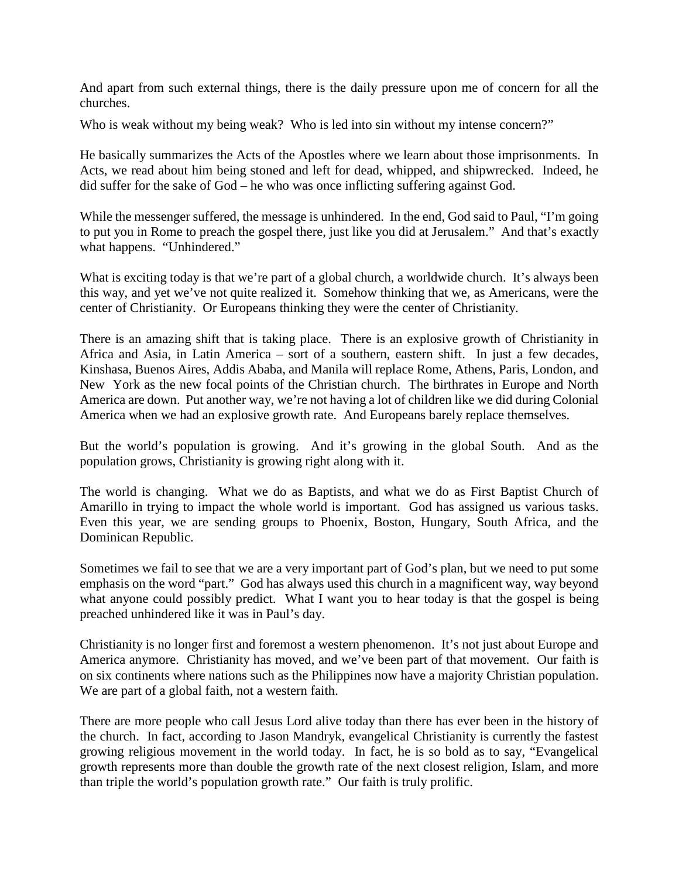And apart from such external things, there is the daily pressure upon me of concern for all the churches.

Who is weak without my being weak? Who is led into sin without my intense concern?"

He basically summarizes the Acts of the Apostles where we learn about those imprisonments. In Acts, we read about him being stoned and left for dead, whipped, and shipwrecked. Indeed, he did suffer for the sake of God – he who was once inflicting suffering against God.

While the messenger suffered, the message is unhindered. In the end, God said to Paul, "I'm going to put you in Rome to preach the gospel there, just like you did at Jerusalem." And that's exactly what happens. "Unhindered."

What is exciting today is that we're part of a global church, a worldwide church. It's always been this way, and yet we've not quite realized it. Somehow thinking that we, as Americans, were the center of Christianity. Or Europeans thinking they were the center of Christianity.

There is an amazing shift that is taking place. There is an explosive growth of Christianity in Africa and Asia, in Latin America – sort of a southern, eastern shift. In just a few decades, Kinshasa, Buenos Aires, Addis Ababa, and Manila will replace Rome, Athens, Paris, London, and New York as the new focal points of the Christian church. The birthrates in Europe and North America are down. Put another way, we're not having a lot of children like we did during Colonial America when we had an explosive growth rate. And Europeans barely replace themselves.

But the world's population is growing. And it's growing in the global South. And as the population grows, Christianity is growing right along with it.

The world is changing. What we do as Baptists, and what we do as First Baptist Church of Amarillo in trying to impact the whole world is important. God has assigned us various tasks. Even this year, we are sending groups to Phoenix, Boston, Hungary, South Africa, and the Dominican Republic.

Sometimes we fail to see that we are a very important part of God's plan, but we need to put some emphasis on the word "part." God has always used this church in a magnificent way, way beyond what anyone could possibly predict. What I want you to hear today is that the gospel is being preached unhindered like it was in Paul's day.

Christianity is no longer first and foremost a western phenomenon. It's not just about Europe and America anymore. Christianity has moved, and we've been part of that movement. Our faith is on six continents where nations such as the Philippines now have a majority Christian population. We are part of a global faith, not a western faith.

There are more people who call Jesus Lord alive today than there has ever been in the history of the church. In fact, according to Jason Mandryk, evangelical Christianity is currently the fastest growing religious movement in the world today. In fact, he is so bold as to say, "Evangelical growth represents more than double the growth rate of the next closest religion, Islam, and more than triple the world's population growth rate." Our faith is truly prolific.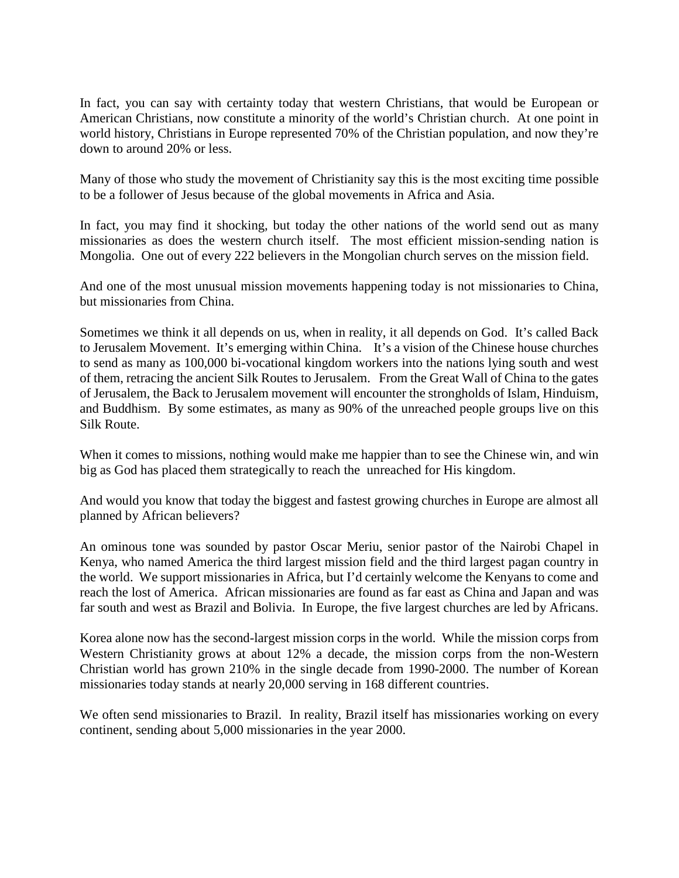In fact, you can say with certainty today that western Christians, that would be European or American Christians, now constitute a minority of the world's Christian church. At one point in world history, Christians in Europe represented 70% of the Christian population, and now they're down to around 20% or less.

Many of those who study the movement of Christianity say this is the most exciting time possible to be a follower of Jesus because of the global movements in Africa and Asia.

In fact, you may find it shocking, but today the other nations of the world send out as many missionaries as does the western church itself. The most efficient mission-sending nation is Mongolia. One out of every 222 believers in the Mongolian church serves on the mission field.

And one of the most unusual mission movements happening today is not missionaries to China, but missionaries from China.

Sometimes we think it all depends on us, when in reality, it all depends on God. It's called Back to Jerusalem Movement. It's emerging within China. It's a vision of the Chinese house churches to send as many as 100,000 bi-vocational kingdom workers into the nations lying south and west of them, retracing the ancient Silk Routes to Jerusalem. From the Great Wall of China to the gates of Jerusalem, the Back to Jerusalem movement will encounter the strongholds of Islam, Hinduism, and Buddhism. By some estimates, as many as 90% of the unreached people groups live on this Silk Route.

When it comes to missions, nothing would make me happier than to see the Chinese win, and win big as God has placed them strategically to reach the unreached for His kingdom.

And would you know that today the biggest and fastest growing churches in Europe are almost all planned by African believers?

An ominous tone was sounded by pastor Oscar Meriu, senior pastor of the Nairobi Chapel in Kenya, who named America the third largest mission field and the third largest pagan country in the world. We support missionaries in Africa, but I'd certainly welcome the Kenyans to come and reach the lost of America. African missionaries are found as far east as China and Japan and was far south and west as Brazil and Bolivia. In Europe, the five largest churches are led by Africans.

Korea alone now has the second-largest mission corps in the world. While the mission corps from Western Christianity grows at about 12% a decade, the mission corps from the non-Western Christian world has grown 210% in the single decade from 1990-2000. The number of Korean missionaries today stands at nearly 20,000 serving in 168 different countries.

We often send missionaries to Brazil. In reality, Brazil itself has missionaries working on every continent, sending about 5,000 missionaries in the year 2000.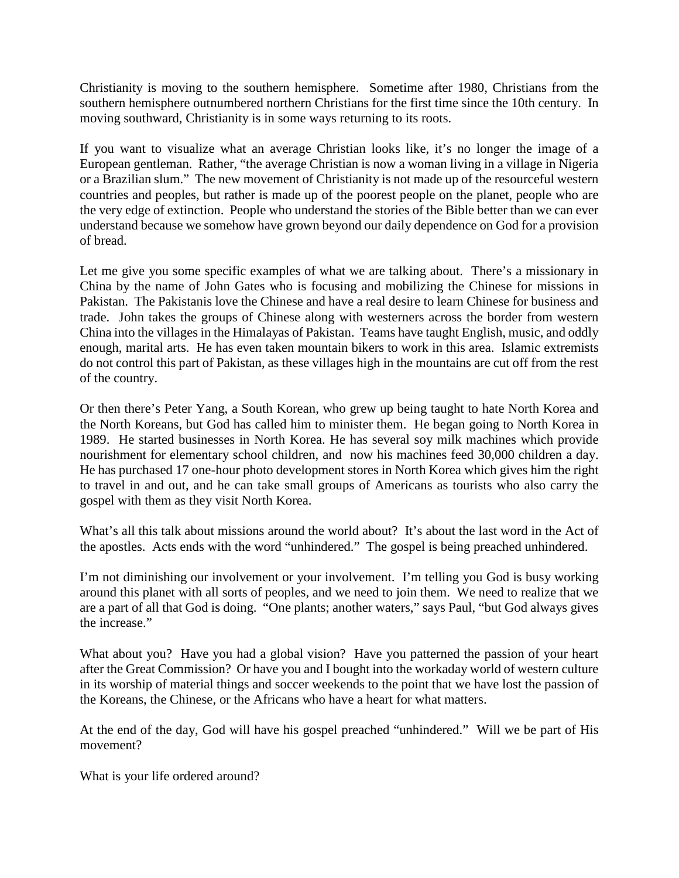Christianity is moving to the southern hemisphere. Sometime after 1980, Christians from the southern hemisphere outnumbered northern Christians for the first time since the 10th century. In moving southward, Christianity is in some ways returning to its roots.

If you want to visualize what an average Christian looks like, it's no longer the image of a European gentleman. Rather, "the average Christian is now a woman living in a village in Nigeria or a Brazilian slum." The new movement of Christianity is not made up of the resourceful western countries and peoples, but rather is made up of the poorest people on the planet, people who are the very edge of extinction. People who understand the stories of the Bible better than we can ever understand because we somehow have grown beyond our daily dependence on God for a provision of bread.

Let me give you some specific examples of what we are talking about. There's a missionary in China by the name of John Gates who is focusing and mobilizing the Chinese for missions in Pakistan. The Pakistanis love the Chinese and have a real desire to learn Chinese for business and trade. John takes the groups of Chinese along with westerners across the border from western China into the villages in the Himalayas of Pakistan. Teams have taught English, music, and oddly enough, marital arts. He has even taken mountain bikers to work in this area. Islamic extremists do not control this part of Pakistan, as these villages high in the mountains are cut off from the rest of the country.

Or then there's Peter Yang, a South Korean, who grew up being taught to hate North Korea and the North Koreans, but God has called him to minister them. He began going to North Korea in 1989. He started businesses in North Korea. He has several soy milk machines which provide nourishment for elementary school children, and now his machines feed 30,000 children a day. He has purchased 17 one-hour photo development stores in North Korea which gives him the right to travel in and out, and he can take small groups of Americans as tourists who also carry the gospel with them as they visit North Korea.

What's all this talk about missions around the world about? It's about the last word in the Act of the apostles. Acts ends with the word "unhindered." The gospel is being preached unhindered.

I'm not diminishing our involvement or your involvement. I'm telling you God is busy working around this planet with all sorts of peoples, and we need to join them. We need to realize that we are a part of all that God is doing. "One plants; another waters," says Paul, "but God always gives the increase."

What about you? Have you had a global vision? Have you patterned the passion of your heart after the Great Commission? Or have you and I bought into the workaday world of western culture in its worship of material things and soccer weekends to the point that we have lost the passion of the Koreans, the Chinese, or the Africans who have a heart for what matters.

At the end of the day, God will have his gospel preached "unhindered." Will we be part of His movement?

What is your life ordered around?